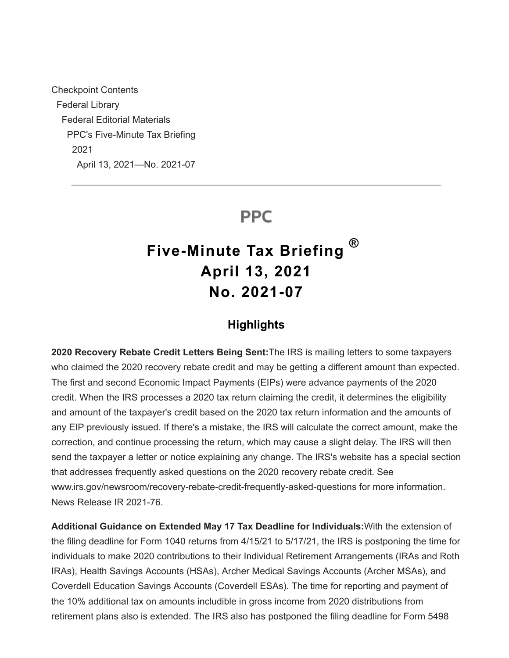Checkpoint Contents Federal Library Federal Editorial Materials PPC's Five-Minute Tax Briefing 2021 April 13, 2021—No. 2021-07

# **PPC**

# **Five-Minute Tax Briefing April 13, 2021 No. 2021-07 ®**

### **Highlights**

**2020 Recovery Rebate Credit Letters Being Sent:**The IRS is mailing letters to some taxpayers who claimed the 2020 recovery rebate credit and may be getting a different amount than expected. The first and second Economic Impact Payments (EIPs) were advance payments of the 2020 credit. When the IRS processes a 2020 tax return claiming the credit, it determines the eligibility and amount of the taxpayer's credit based on the 2020 tax return information and the amounts of any EIP previously issued. If there's a mistake, the IRS will calculate the correct amount, make the correction, and continue processing the return, which may cause a slight delay. The IRS will then send the taxpayer a letter or notice explaining any change. The IRS's website has a special section that addresses frequently asked questions on the 2020 recovery rebate credit. See www.irs.gov/newsroom/recovery-rebate-credit-frequently-asked-questions for more information. News Release IR 2021-76.

**Additional Guidance on Extended May 17 Tax Deadline for Individuals:**With the extension of the filing deadline for Form 1040 returns from 4/15/21 to 5/17/21, the IRS is postponing the time for individuals to make 2020 contributions to their Individual Retirement Arrangements (IRAs and Roth IRAs), Health Savings Accounts (HSAs), Archer Medical Savings Accounts (Archer MSAs), and Coverdell Education Savings Accounts (Coverdell ESAs). The time for reporting and payment of the 10% additional tax on amounts includible in gross income from 2020 distributions from retirement plans also is extended. The IRS also has postponed the filing deadline for Form 5498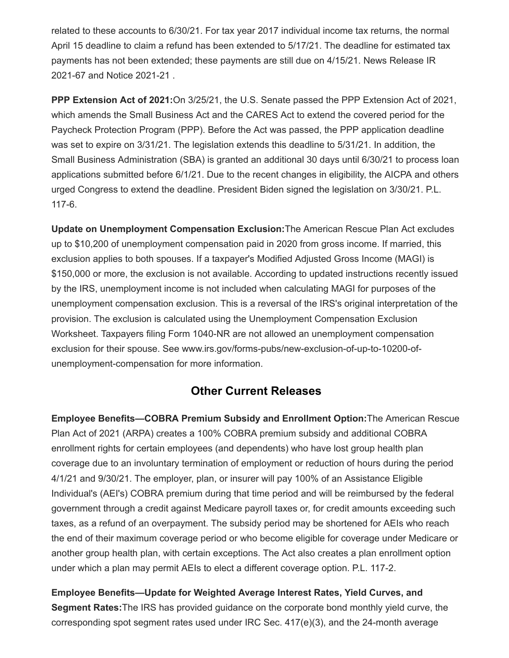related to these accounts to 6/30/21. For tax year 2017 individual income tax returns, the normal April 15 deadline to claim a refund has been extended to 5/17/21. The deadline for estimated tax payments has not been extended; these payments are still due on 4/15/21. News Release IR 2021-67 and Notice 2021-21 .

**PPP Extension Act of 2021:**On 3/25/21, the U.S. Senate passed the PPP Extension Act of 2021, which amends the Small Business Act and the CARES Act to extend the covered period for the Paycheck Protection Program (PPP). Before the Act was passed, the PPP application deadline was set to expire on 3/31/21. The legislation extends this deadline to 5/31/21. In addition, the Small Business Administration (SBA) is granted an additional 30 days until 6/30/21 to process loan applications submitted before 6/1/21. Due to the recent changes in eligibility, the AICPA and others urged Congress to extend the deadline. President Biden signed the legislation on 3/30/21. P.L. 117-6.

**Update on Unemployment Compensation Exclusion:**The American Rescue Plan Act excludes up to \$10,200 of unemployment compensation paid in 2020 from gross income. If married, this exclusion applies to both spouses. If a taxpayer's Modified Adjusted Gross Income (MAGI) is \$150,000 or more, the exclusion is not available. According to updated instructions recently issued by the IRS, unemployment income is not included when calculating MAGI for purposes of the unemployment compensation exclusion. This is a reversal of the IRS's original interpretation of the provision. The exclusion is calculated using the Unemployment Compensation Exclusion Worksheet. Taxpayers filing Form 1040-NR are not allowed an unemployment compensation exclusion for their spouse. See www.irs.gov/forms-pubs/new-exclusion-of-up-to-10200-ofunemployment-compensation for more information.

### **Other Current Releases**

**Employee Benefits—COBRA Premium Subsidy and Enrollment Option:**The American Rescue Plan Act of 2021 (ARPA) creates a 100% COBRA premium subsidy and additional COBRA enrollment rights for certain employees (and dependents) who have lost group health plan coverage due to an involuntary termination of employment or reduction of hours during the period 4/1/21 and 9/30/21. The employer, plan, or insurer will pay 100% of an Assistance Eligible Individual's (AEI's) COBRA premium during that time period and will be reimbursed by the federal government through a credit against Medicare payroll taxes or, for credit amounts exceeding such taxes, as a refund of an overpayment. The subsidy period may be shortened for AEIs who reach the end of their maximum coverage period or who become eligible for coverage under Medicare or another group health plan, with certain exceptions. The Act also creates a plan enrollment option under which a plan may permit AEIs to elect a different coverage option. P.L. 117-2.

**Employee Benefits—Update for Weighted Average Interest Rates, Yield Curves, and Segment Rates:**The IRS has provided guidance on the corporate bond monthly yield curve, the corresponding spot segment rates used under IRC Sec.  $417(e)(3)$ , and the 24-month average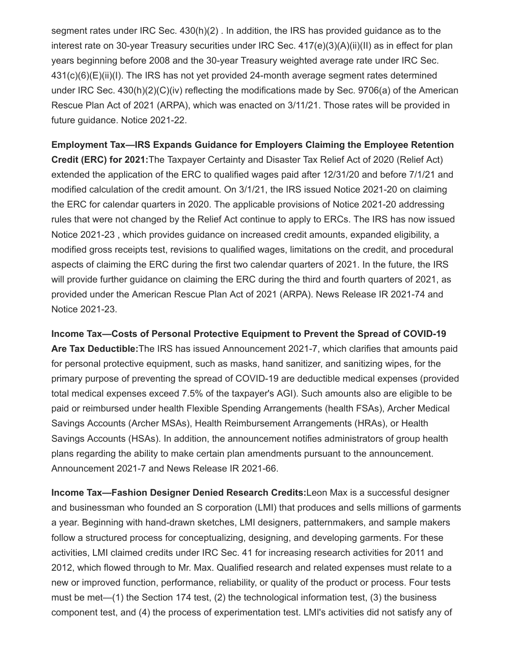segment rates under IRC Sec. 430(h)(2) . In addition, the IRS has provided guidance as to the interest rate on 30-year Treasury securities under IRC Sec. 417(e)(3)(A)(ii)(II) as in effect for plan years beginning before 2008 and the 30-year Treasury weighted average rate under IRC Sec. 431(c)(6)(E)(ii)(I). The IRS has not yet provided 24-month average segment rates determined under IRC Sec. 430(h)(2)(C)(iv) reflecting the modifications made by Sec. 9706(a) of the American Rescue Plan Act of 2021 (ARPA), which was enacted on 3/11/21. Those rates will be provided in future guidance. Notice 2021-22.

**Employment Tax—IRS Expands Guidance for Employers Claiming the Employee Retention Credit (ERC) for 2021:**The Taxpayer Certainty and Disaster Tax Relief Act of 2020 (Relief Act) extended the application of the ERC to qualified wages paid after 12/31/20 and before 7/1/21 and modified calculation of the credit amount. On 3/1/21, the IRS issued Notice 2021-20 on claiming the ERC for calendar quarters in 2020. The applicable provisions of Notice 2021-20 addressing rules that were not changed by the Relief Act continue to apply to ERCs. The IRS has now issued Notice 2021-23 , which provides guidance on increased credit amounts, expanded eligibility, a modified gross receipts test, revisions to qualified wages, limitations on the credit, and procedural aspects of claiming the ERC during the first two calendar quarters of 2021. In the future, the IRS will provide further guidance on claiming the ERC during the third and fourth quarters of 2021, as provided under the American Rescue Plan Act of 2021 (ARPA). News Release IR 2021-74 and Notice 2021-23.

**Income Tax—Costs of Personal Protective Equipment to Prevent the Spread of COVID-19 Are Tax Deductible:**The IRS has issued Announcement 2021-7, which clarifies that amounts paid for personal protective equipment, such as masks, hand sanitizer, and sanitizing wipes, for the primary purpose of preventing the spread of COVID-19 are deductible medical expenses (provided total medical expenses exceed 7.5% of the taxpayer's AGI). Such amounts also are eligible to be paid or reimbursed under health Flexible Spending Arrangements (health FSAs), Archer Medical Savings Accounts (Archer MSAs), Health Reimbursement Arrangements (HRAs), or Health Savings Accounts (HSAs). In addition, the announcement notifies administrators of group health plans regarding the ability to make certain plan amendments pursuant to the announcement. Announcement 2021-7 and News Release IR 2021-66.

**Income Tax—Fashion Designer Denied Research Credits:**Leon Max is a successful designer and businessman who founded an S corporation (LMI) that produces and sells millions of garments a year. Beginning with hand-drawn sketches, LMI designers, patternmakers, and sample makers follow a structured process for conceptualizing, designing, and developing garments. For these activities, LMI claimed credits under IRC Sec. 41 for increasing research activities for 2011 and 2012, which flowed through to Mr. Max. Qualified research and related expenses must relate to a new or improved function, performance, reliability, or quality of the product or process. Four tests must be met—(1) the Section 174 test, (2) the technological information test, (3) the business component test, and (4) the process of experimentation test. LMI's activities did not satisfy any of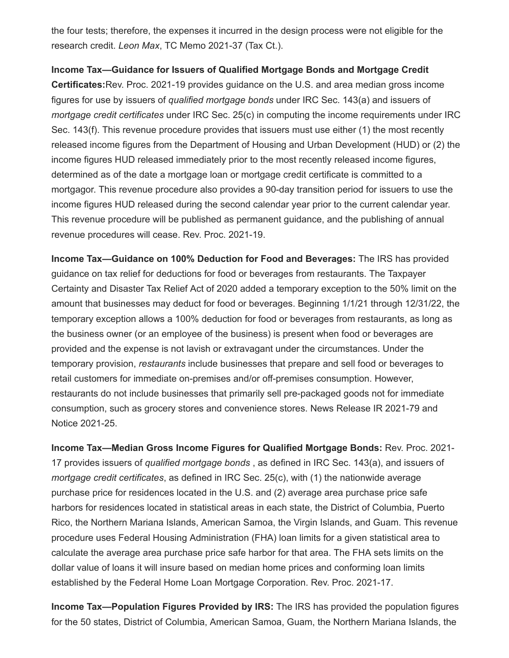the four tests; therefore, the expenses it incurred in the design process were not eligible for the research credit. *Leon Max*, TC Memo 2021-37 (Tax Ct.).

**Income Tax—Guidance for Issuers of Qualified Mortgage Bonds and Mortgage Credit Certificates:**Rev. Proc. 2021-19 provides guidance on the U.S. and area median gross income figures for use by issuers of *qualified mortgage bonds* under IRC Sec. 143(a) and issuers of *mortgage credit certificates* under IRC Sec. 25(c) in computing the income requirements under IRC

Sec. 143(f). This revenue procedure provides that issuers must use either (1) the most recently released income figures from the Department of Housing and Urban Development (HUD) or (2) the income figures HUD released immediately prior to the most recently released income figures, determined as of the date a mortgage loan or mortgage credit certificate is committed to a mortgagor. This revenue procedure also provides a 90-day transition period for issuers to use the income figures HUD released during the second calendar year prior to the current calendar year. This revenue procedure will be published as permanent guidance, and the publishing of annual revenue procedures will cease. Rev. Proc. 2021-19.

**Income Tax—Guidance on 100% Deduction for Food and Beverages:** The IRS has provided guidance on tax relief for deductions for food or beverages from restaurants. The Taxpayer Certainty and Disaster Tax Relief Act of 2020 added a temporary exception to the 50% limit on the amount that businesses may deduct for food or beverages. Beginning 1/1/21 through 12/31/22, the temporary exception allows a 100% deduction for food or beverages from restaurants, as long as the business owner (or an employee of the business) is present when food or beverages are provided and the expense is not lavish or extravagant under the circumstances. Under the temporary provision, *restaurants* include businesses that prepare and sell food or beverages to retail customers for immediate on-premises and/or off-premises consumption. However, restaurants do not include businesses that primarily sell pre-packaged goods not for immediate consumption, such as grocery stores and convenience stores. News Release IR 2021-79 and Notice 2021-25.

**Income Tax—Median Gross Income Figures for Qualified Mortgage Bonds:** Rev. Proc. 2021- 17 provides issuers of *qualified mortgage bonds* , as defined in IRC Sec. 143(a), and issuers of *mortgage credit certificates*, as defined in IRC Sec. 25(c), with (1) the nationwide average purchase price for residences located in the U.S. and (2) average area purchase price safe harbors for residences located in statistical areas in each state, the District of Columbia, Puerto Rico, the Northern Mariana Islands, American Samoa, the Virgin Islands, and Guam. This revenue procedure uses Federal Housing Administration (FHA) loan limits for a given statistical area to calculate the average area purchase price safe harbor for that area. The FHA sets limits on the dollar value of loans it will insure based on median home prices and conforming loan limits established by the Federal Home Loan Mortgage Corporation. Rev. Proc. 2021-17.

**Income Tax—Population Figures Provided by IRS:** The IRS has provided the population figures for the 50 states, District of Columbia, American Samoa, Guam, the Northern Mariana Islands, the